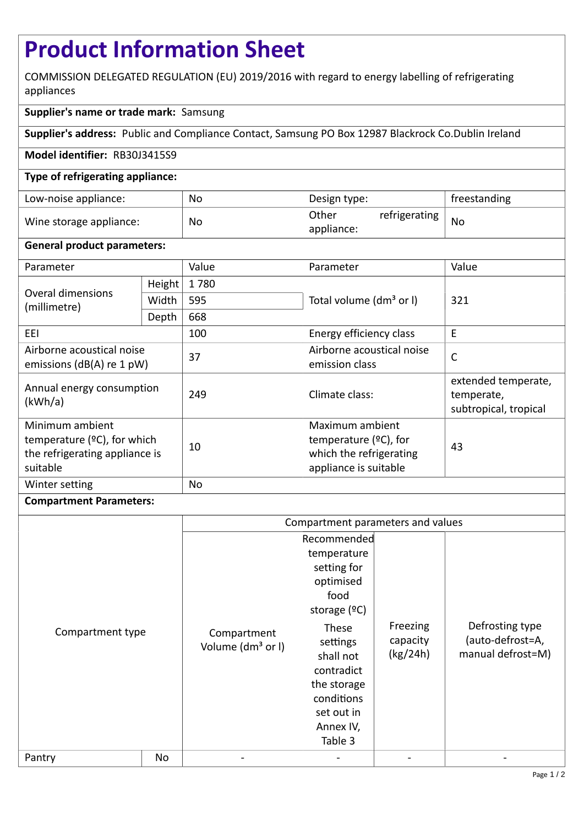# **Product Information Sheet**

COMMISSION DELEGATED REGULATION (EU) 2019/2016 with regard to energy labelling of refrigerating appliances

## **Supplier's name or trade mark:** Samsung

**Supplier's address:** Public and Compliance Contact, Samsung PO Box 12987 Blackrock Co.Dublin Ireland

### **Model identifier:** RB30J3415S9

### **Type of refrigerating appliance:**

| Low-noise appliance:    | No | Design type:                         | freestanding |
|-------------------------|----|--------------------------------------|--------------|
| Wine storage appliance: | No | Other<br>refrigerating<br>appliance: | No           |

### **General product parameters:**

| Parameter                                                                                        |        | Value     | Parameter                                                                                       | Value                                                      |  |
|--------------------------------------------------------------------------------------------------|--------|-----------|-------------------------------------------------------------------------------------------------|------------------------------------------------------------|--|
| Overal dimensions<br>(millimetre)                                                                | Height | 1780      |                                                                                                 | 321                                                        |  |
|                                                                                                  | Width  | 595       | Total volume (dm <sup>3</sup> or I)                                                             |                                                            |  |
|                                                                                                  | Depth  | 668       |                                                                                                 |                                                            |  |
| 100<br>EEL                                                                                       |        |           | Energy efficiency class                                                                         | E                                                          |  |
| Airborne acoustical noise<br>emissions ( $dB(A)$ re 1 pW)                                        |        | 37        | Airborne acoustical noise<br>emission class                                                     | C                                                          |  |
| Annual energy consumption<br>(kWh/a)                                                             |        | 249       | Climate class:                                                                                  | extended temperate,<br>temperate,<br>subtropical, tropical |  |
| Minimum ambient<br>temperature ( $°C$ ), for which<br>the refrigerating appliance is<br>suitable |        | 10        | Maximum ambient<br>temperature $(2C)$ , for<br>which the refrigerating<br>appliance is suitable | 43                                                         |  |
| Winter setting                                                                                   |        | <b>No</b> |                                                                                                 |                                                            |  |

### **Compartment Parameters:**

|                  |    | Compartment parameters and values            |                                                                                                                                  |                                  |                                                          |
|------------------|----|----------------------------------------------|----------------------------------------------------------------------------------------------------------------------------------|----------------------------------|----------------------------------------------------------|
| Compartment type |    | Compartment<br>Volume (dm <sup>3</sup> or I) | Recommended<br>temperature<br>setting for<br>optimised<br>food<br>storage $(°C)$<br>These<br>settings<br>shall not<br>contradict | Freezing<br>capacity<br>(kg/24h) | Defrosting type<br>(auto-defrost=A,<br>manual defrost=M) |
|                  |    |                                              | the storage<br>conditions<br>set out in<br>Annex IV,<br>Table 3                                                                  |                                  |                                                          |
| Pantry           | No |                                              |                                                                                                                                  |                                  |                                                          |